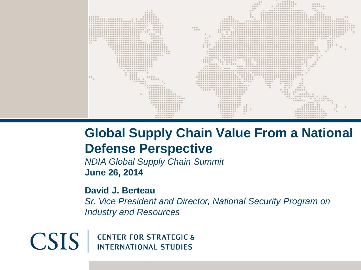

#### **Global Supply Chain Value From a National Defense Perspective**

*NDIA Global Supply Chain Summit* **June 26, 2014**

**David J. Berteau**

*Sr. Vice President and Director, National Security Program on Industry and Resources*

 $CSIS$ **CENTER FOR STRATEGIC & INTERNATIONAL STUDIES**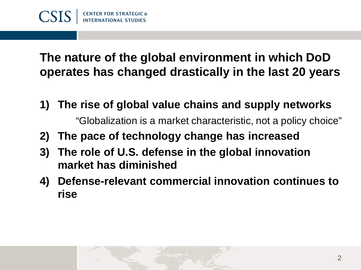### **The nature of the global environment in which DoD operates has changed drastically in the last 20 years**

- **1) The rise of global value chains and supply networks** "Globalization is a market characteristic, not a policy choice"
- **2) The pace of technology change has increased**
- **3) The role of U.S. defense in the global innovation market has diminished**
- **4) Defense-relevant commercial innovation continues to rise**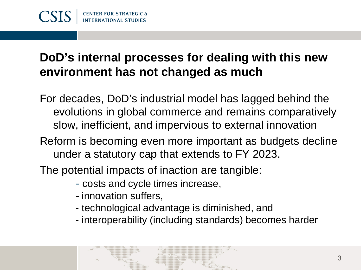## **DoD's internal processes for dealing with this new environment has not changed as much**

- For decades, DoD's industrial model has lagged behind the evolutions in global commerce and remains comparatively slow, inefficient, and impervious to external innovation
- Reform is becoming even more important as budgets decline under a statutory cap that extends to FY 2023.

The potential impacts of inaction are tangible:

- costs and cycle times increase,
- innovation suffers,
- technological advantage is diminished, and
- interoperability (including standards) becomes harder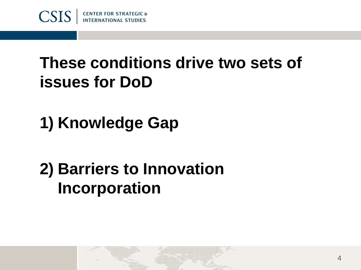

# **These conditions drive two sets of issues for DoD**

**1) Knowledge Gap**

# **2) Barriers to Innovation Incorporation**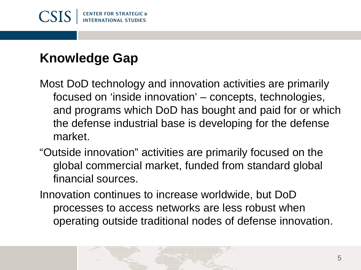

# **Knowledge Gap**

- Most DoD technology and innovation activities are primarily focused on 'inside innovation' – concepts, technologies, and programs which DoD has bought and paid for or which the defense industrial base is developing for the defense market.
- "Outside innovation" activities are primarily focused on the global commercial market, funded from standard global financial sources.
- Innovation continues to increase worldwide, but DoD processes to access networks are less robust when operating outside traditional nodes of defense innovation.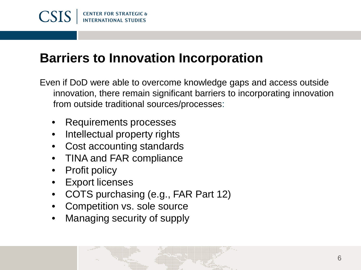

## **Barriers to Innovation Incorporation**

- Even if DoD were able to overcome knowledge gaps and access outside innovation, there remain significant barriers to incorporating innovation from outside traditional sources/processes:
	- Requirements processes
	- Intellectual property rights
	- Cost accounting standards
	- TINA and FAR compliance
	- **Profit policy**
	- **Export licenses**
	- COTS purchasing (e.g., FAR Part 12)
	- Competition vs. sole source
	- Managing security of supply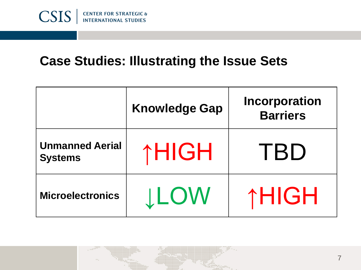

#### **Case Studies: Illustrating the Issue Sets**

|                                          | <b>Knowledge Gap</b> | <b>Incorporation</b><br><b>Barriers</b> |
|------------------------------------------|----------------------|-----------------------------------------|
| <b>Unmanned Aerial</b><br><b>Systems</b> | ↑HIGH                | TBD                                     |
| <b>Microelectronics</b>                  | <b>ILOW</b>          | ↑HIGH                                   |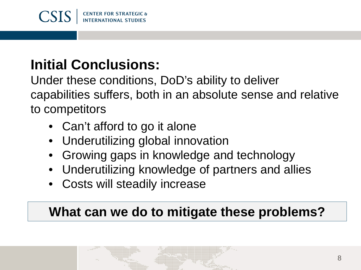

# **Initial Conclusions:**

Under these conditions, DoD's ability to deliver capabilities suffers, both in an absolute sense and relative to competitors

- Can't afford to go it alone
- Underutilizing global innovation
- Growing gaps in knowledge and technology
- Underutilizing knowledge of partners and allies
- Costs will steadily increase

# **What can we do to mitigate these problems?**